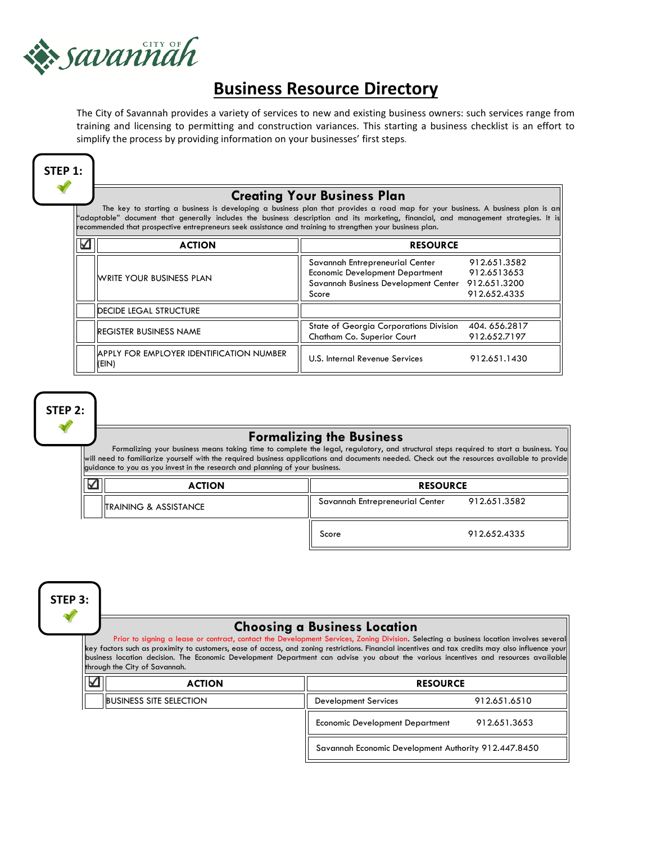

# **Business Resource Directory**

The City of Savannah provides a variety of services to new and existing business owners: such services range from training and licensing to permitting and construction variances. This starting a business checklist is an effort to simplify the process by providing information on your businesses' first steps.



### **Creating Your Business Plan**

 The key to starting a business is developing a business plan that provides a road map for your business. A business plan is an "adaptable" document that generally includes the business description and its marketing, financial, and management strategies. It is recommended that prospective entrepreneurs seek assistance and training to strengthen your business plan.

| <b>ACTION</b>                                            | <b>RESOURCE</b>                                                                                                            |                                                             |
|----------------------------------------------------------|----------------------------------------------------------------------------------------------------------------------------|-------------------------------------------------------------|
| <b>WRITE YOUR BUSINESS PLAN</b>                          | Savannah Entrepreneurial Center<br><b>Economic Development Department</b><br>Savannah Business Development Center<br>Score | 912.651.3582<br>912.6513653<br>912.651.3200<br>912.652.4335 |
| <b>DECIDE LEGAL STRUCTURE</b>                            |                                                                                                                            |                                                             |
| IREGISTER BUSINESS NAME                                  | State of Georgia Corporations Division<br>Chatham Co. Superior Court                                                       | 404.656.2817<br>912.652.7197                                |
| <b>APPLY FOR EMPLOYER IDENTIFICATION NUMBER</b><br>(EIN) | U.S. Internal Revenue Services                                                                                             | 912.651.1430                                                |
|                                                          |                                                                                                                            |                                                             |

**STEP 2:** 

# **Formalizing the Business**

 Formalizing your business means taking time to complete the legal, regulatory, and structural steps required to start a business. You will need to familiarize yourself with the required business applications and documents needed. Check out the resources available to provide guidance to you as you invest in the research and planning of your business.

| <b>ACTION</b>                     | <b>RESOURCE</b>                 |              |
|-----------------------------------|---------------------------------|--------------|
| <b>ITRAINING &amp; ASSISTANCE</b> | Savannah Entrepreneurial Center | 912.651.3582 |
|                                   | Score                           | 912.652.4335 |

**STEP 3:** 

#### **Choosing a Business Location**

Prior to signing a lease or contract, contact the Development Services, Zoning Division. Selecting a business location involves severa key factors such as proximity to customers, ease of access, and zoning restrictions. Financial incentives and tax credits may also influence your business location decision. The Economic Development Department can advise you about the various incentives and resources available through the City of Savannah.

| Γv | <b>ACTION</b>                          | <b>RESOURCE</b>                                      |              |
|----|----------------------------------------|------------------------------------------------------|--------------|
|    | <b>BUSINESS SITE SELECTION</b>         | Development Services                                 | 912.651.6510 |
|    | <b>Economic Development Department</b> | 912.651.3653                                         |              |
|    |                                        | Savannah Economic Development Authority 912.447.8450 |              |